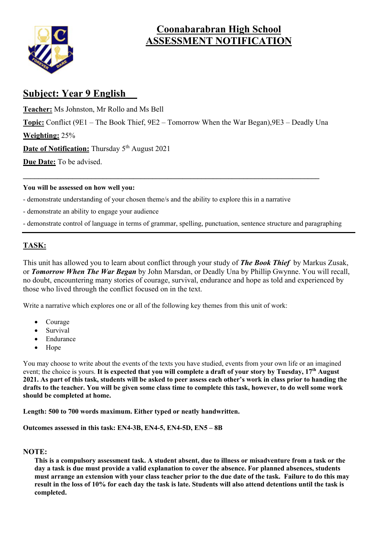

## **Coonabarabran High School ASSESSMENT NOTIFICATION**

#### **Subject: Year 9 English**

**Teacher:** Ms Johnston, Mr Rollo and Ms Bell **Topic:** Conflict (9E1 – The Book Thief, 9E2 – Tomorrow When the War Began),9E3 – Deadly Una **Weighting:** 25% **Date of Notification:** Thursday 5<sup>th</sup> August 2021 **Due Date:** To be advised.

 $\mathcal{L}_\mathcal{L} = \mathcal{L}_\mathcal{L} = \mathcal{L}_\mathcal{L} = \mathcal{L}_\mathcal{L} = \mathcal{L}_\mathcal{L} = \mathcal{L}_\mathcal{L} = \mathcal{L}_\mathcal{L} = \mathcal{L}_\mathcal{L} = \mathcal{L}_\mathcal{L} = \mathcal{L}_\mathcal{L} = \mathcal{L}_\mathcal{L} = \mathcal{L}_\mathcal{L} = \mathcal{L}_\mathcal{L} = \mathcal{L}_\mathcal{L} = \mathcal{L}_\mathcal{L} = \mathcal{L}_\mathcal{L} = \mathcal{L}_\mathcal{L}$ 

#### **You will be assessed on how well you:**

- demonstrate understanding of your chosen theme/s and the ability to explore this in a narrative
- demonstrate an ability to engage your audience
- demonstrate control of language in terms of grammar, spelling, punctuation, sentence structure and paragraphing

#### **TASK:**

This unit has allowed you to learn about conflict through your study of *The Book Thief* by Markus Zusak, or *Tomorrow When The War Began* by John Marsdan, or Deadly Una by Phillip Gwynne. You will recall, no doubt, encountering many stories of courage, survival, endurance and hope as told and experienced by those who lived through the conflict focused on in the text.

Write a narrative which explores one or all of the following key themes from this unit of work:

- Courage
- Survival
- Endurance
- Hope

You may choose to write about the events of the texts you have studied, events from your own life or an imagined event; the choice is yours. **It is expected that you will complete a draft of your story by Tuesday, 17th August 2021. As part of this task, students will be asked to peer assess each other's work in class prior to handing the drafts to the teacher. You will be given some class time to complete this task, however, to do well some work should be completed at home.** 

**Length: 500 to 700 words maximum. Either typed or neatly handwritten.**

**Outcomes assessed in this task: EN4-3B, EN4-5, EN4-5D, EN5 – 8B**

#### **NOTE:**

**This is a compulsory assessment task. A student absent, due to illness or misadventure from a task or the day a task is due must provide a valid explanation to cover the absence. For planned absences, students must arrange an extension with your class teacher prior to the due date of the task. Failure to do this may result in the loss of 10% for each day the task is late. Students will also attend detentions until the task is completed.**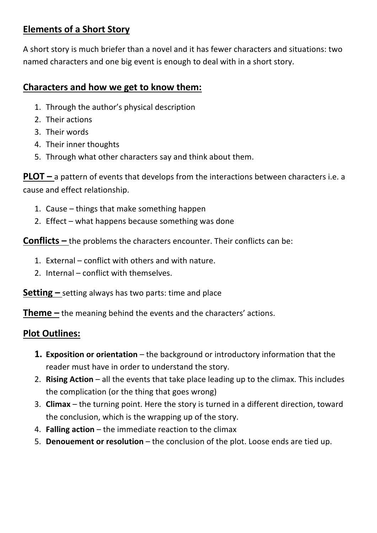#### **Elements of a Short Story**

A short story is much briefer than a novel and it has fewer characters and situations: two named characters and one big event is enough to deal with in a short story.

#### **Characters and how we get to know them:**

- 1. Through the author's physical description
- 2. Their actions
- 3. Their words
- 4. Their inner thoughts
- 5. Through what other characters say and think about them.

**PLOT** – a pattern of events that develops from the interactions between characters i.e. a cause and effect relationship.

- 1. Cause things that make something happen
- 2. Effect what happens because something was done

**Conflicts –** the problems the characters encounter. Their conflicts can be:

- 1. External conflict with others and with nature.
- 2. Internal conflict with themselves.

**Setting** – setting always has two parts: time and place

**Theme –** the meaning behind the events and the characters' actions.

## **Plot Outlines:**

- **1. Exposition or orientation** the background or introductory information that the reader must have in order to understand the story.
- 2. **Rising Action** all the events that take place leading up to the climax. This includes the complication (or the thing that goes wrong)
- 3. **Climax** the turning point. Here the story is turned in a different direction, toward the conclusion, which is the wrapping up of the story.
- 4. **Falling action** the immediate reaction to the climax
- 5. **Denouement or resolution** the conclusion of the plot. Loose ends are tied up.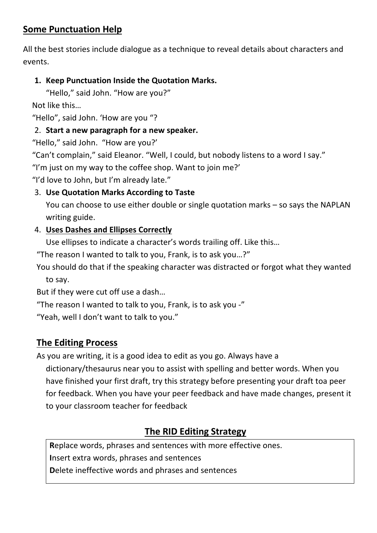#### **Some Punctuation Help**

All the best stories include dialogue as a technique to reveal details about characters and events.

#### **1. Keep Punctuation Inside the Quotation Marks.**

"Hello," said John. "How are you?"

Not like this…

"Hello", said John. 'How are you "?

#### 2. **Start a new paragraph for a new speaker.**

"Hello," said John. "How are you?'

"Can't complain," said Eleanor. "Well, I could, but nobody listens to a word I say."

"I'm just on my way to the coffee shop. Want to join me?'

"I'd love to John, but I'm already late."

#### 3. **Use Quotation Marks According to Taste**

You can choose to use either double or single quotation marks – so says the NAPLAN writing guide.

#### 4. **Uses Dashes and Ellipses Correctly**

Use ellipses to indicate a character's words trailing off. Like this…

"The reason I wanted to talk to you, Frank, is to ask you…?"

You should do that if the speaking character was distracted or forgot what they wanted to say.

But if they were cut off use a dash…

"The reason I wanted to talk to you, Frank, is to ask you -"

"Yeah, well I don't want to talk to you."

## **The Editing Process**

As you are writing, it is a good idea to edit as you go. Always have a dictionary/thesaurus near you to assist with spelling and better words. When you have finished your first draft, try this strategy before presenting your draft toa peer for feedback. When you have your peer feedback and have made changes, present it to your classroom teacher for feedback

## **The RID Editing Strategy**

**R**eplace words, phrases and sentences with more effective ones. **I**nsert extra words, phrases and sentences **D**elete ineffective words and phrases and sentences